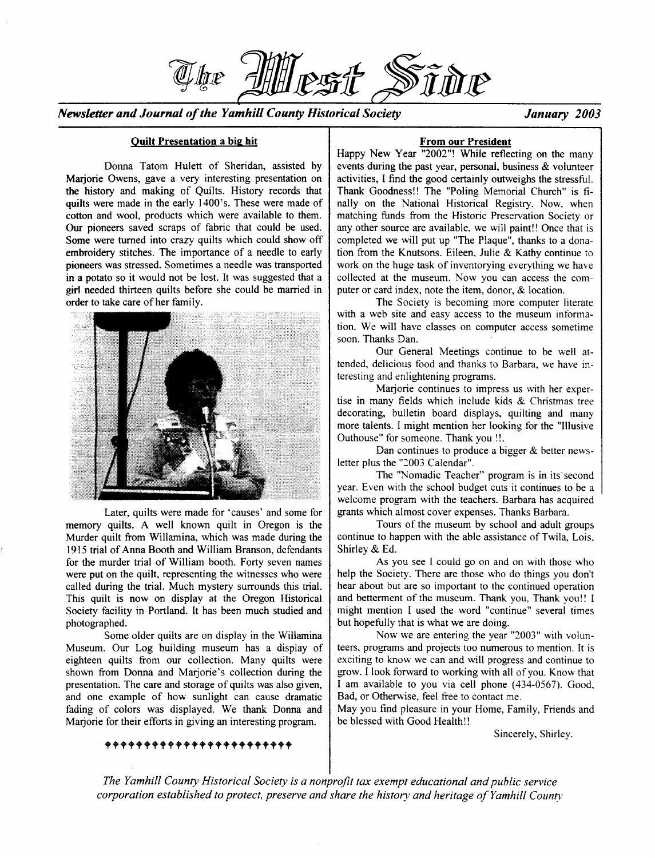*Newsletter and Journal of the Yamhill County Historical Society January 2003* 

### Quilt Presentation a big hit

 ${\mathbb Z}$  for  ${\mathbb P}$ 

Donna Tatom Hulett of Sheridan, assisted by Marjorie Owens, gave a very interesting presentation on the history and making of Quilts. History records that quilts were made in the early 1400's. These were made of cotton and wool, products which were available to them. Our pioneers saved scraps of fabric that could be used. Some were turned into crazy quilts which could show off embroidery stitches. The importance of a needle to early pioneers was stressed. Sometimes a needle was transported in a potato so it would not be lost. It was suggested that a girl needed thirteen quilts before she could be married in order to take care of her family.



Later, quilts were made for 'causes' and some for memory quilts. A well known quilt in Oregon is the Murder quilt from Willamina, which was made during the 1915 trial of Anna Booth and William Branson, defendants for the murder trial of William booth. Forty seven names were put on the quilt, representing the witnesses who were called during the trial. Much mystery surrounds this trial. This quilt is now on display at the Oregon Historical Society facility in Portland. It has been much studied and photographed.

Some older quilts are on display in the Willamina Museum. Our Log building museum has a display of eighteen quilts from our collection. Many quilts were shown from Donna and Marjorie's collection during the presentation. The care and storage of quilts was also given, and one example of how sunlight can cause dramatic fading of colors was displayed. We thank Donna and Marjorie for their efforts in giving an interesting program.

#### From our President

Happy New Year "2002"! While reflecting on the many events during the past year, personal, business & volunteer activities, I find the good certainly outweighs the stressful. Thank Goodness!! The "Poling Memorial Church" is finally on the National Historical Registry. Now, when matching funds from the Historic Preservation Society or any other source are available, we will paint!! Once that is completed we will put up "The Plaque", thanks to a donation from the Knutsons. Eileen. Julie & Kathy continue to work on the huge task of inventorying everything we have collected at the museum. Now you can access the computer or card index, note the item, donor, & location.

The Society is becoming more computer literate with a web site and easy access to the museum information. We will have classes on computer access sometime soon. Thanks Dan.

Our General Meetings continue to be well attended, delicious food and thanks to Barbara, we have interesting and enlightening programs.

Marjorie continues to impress us with her expertise in many fields which include kids & Christmas tree decorating, bulletin board displays, quilting and many more talents. I might mention her looking for the "Illusive Outhouse" for someone. Thank you!!.

Dan continues to produce a bigger & better newsletter plus the *"2003* Calendar".

The "Nomadic Teacher" program is in its second year. Even with the school budget cuts it continues to be a welcome program with the teachers. Barbara has acquired grants which almost cover expenses. Thanks Barbara.

Tours of the museum by school and adult groups continue to happen with the able assistance of Twila, Lois. Shirley & Ed.

As you see I could go on and on with those who help the Society. There are those who do things you don't hear about but are so important to the continued operation and betterment of the museum. Thank you, Thank you!! I might mention I used the word "continue" several times but hopefully that is what we are doing.

Now we are entering the year "2003" with volunteers, programs and projects too numerous to mention. It is exciting to know we can and will progress and continue to grow. I look forward to working with all of you. Know that I am available to you via cell phone (434-0567). Good, Bad, or Otherwise, feel free to contact me.

May you find pleasure in your Home, Family, Friends and be blessed with Good Health!!

Sincerely. Shirley.

*The Yamhill County Historical Society is a nonprofit tax exempt educational and public service corporation established to protect, preserve and share the history and heritage of Yamhill County*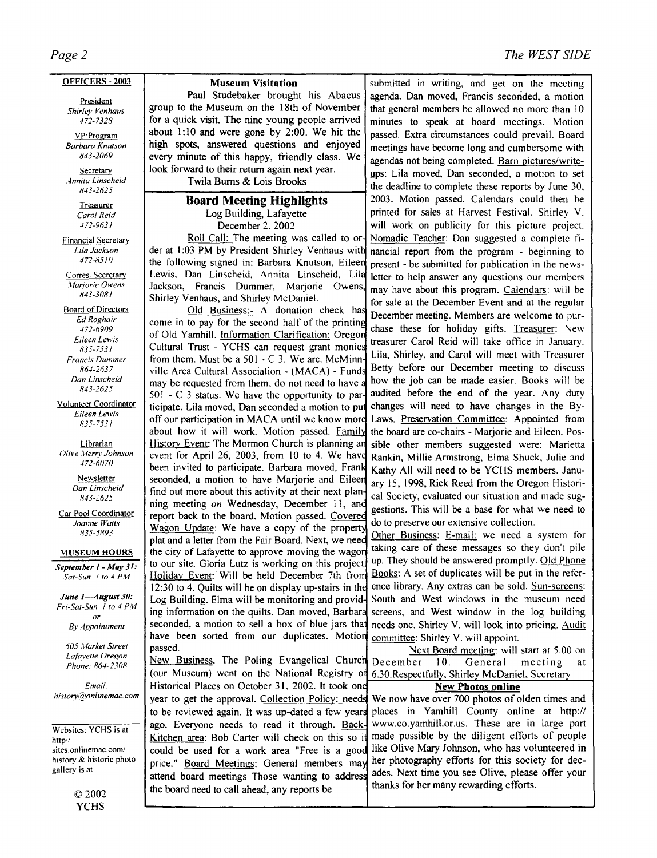#### OFFICERS - 2003

President *Shirley Venhaus 472-7328* 

VP/Program *Barbara Knutson 843-2069* 

Secretarv *Annita linscheid 843-2625* 

> Treasurer *Carol Reid 472-9631*

Financial Secretary *Lila Jackson 472-8510* 

Corres. Secretary *Jfariorie Owens 843-3081* 

**Board of Directors** *Ed Roghair 472-6909 Eileen Lewis R35-753 l Francis Dummer 864-2637 Dan linscheid 843-2625* 

Volunteer Coordinator *Eileen Lewis 835-7531* 

Librarian Olive Merry Johnson *472-6070* 

> Newsletter *Dan linscheid 843-2625*

Car Pool Coordinator *Joanne Watts 835-5893* 

#### MUSEUM HOURS

*September I* - *May 31: Sat-Sun* I *to* 4 *PM* 

*June I-August 30: Fri-Sat-Sun 1 to 4 PM or* 

*By Appointment* 

*605 Market Street Lafayette Oregon Phone: R64-230R* 

*Email: history@onlinemac.com* 

Websites: YCHS is at http// sites.onlinemac.com/ history & historic photo gallery is at

> ©2002 YCHS

der at 1:03 PM by President Shirley Venhaus with nancial report from the program - beginning to the following signed in: Barbara Knutson, Eileen present - be submitted for publication in the newsthe following signed in: Barbara Knutson, Eileen present - be submitted for publication in the news-<br>Lewis, Dan Linscheid, Annita Linscheid, Lila letter to beln answer any questions our members Lewis, Dan Linscheid, Annita Linscheid, Lila letter to help answer any questions our members<br>Jackson, Francis Dummer, Mariorie Owens, may have about this program Colondary will be Jackson, Francis Dummer, Marjorie Owens, may have about this program. Calendars: will be<br>Shirley Venhaus, and Shirley McDaniel.

Old Business... A donation check has December meeting. Members are welcome to pur-<br>come in to pay for the second half of the printing  $\frac{1}{1}$ . come in to pay for the second half of the printing chase these for holiday gifts. Treasurer: New of Old Yamhill. Information Clarification: Oregon Cultural Trust - YCHS can request grant monies From them. Must be a 501 - C 3. We are. McMinn Lila, Shirley, and Carol will meet with Treasurer<br>from them. Must be a 501 - C 3. We are. McMinn Betty before our December meeting to discuss ville Area Cultural Association  $\sim$  (MACA)  $\sim$  Funds Betty before our December meeting to discuss may be requested from them do not need to have a how the job can be made easier. Books will be may be requested from them, do not need to have a how the job can be made easier. Books will be  $501 - C$  3 status. We have the opportunity to par- audited before the end of the year. Any duty 501 - C 3 status. We have the opportunity to par- audited before the end of the year. Any duty ticipate. Lila moved, Dan seconded a motion to put changes will need to have changes in the Byticipate. Lila moved, Dan seconded a motion to put off our participation in MACA until we know more Laws. Preservation Committee: Appointed from about how it will work. Motion passed. Family the board are co-chairs - Marjorie and Eileen. Pos-History Event: The Mormon Church is planning an sible other members suggested were: Marietta event for April 26, 2003, from 10 to 4. We have Rankin, Millie Armstrong, Elma Shuck, Julie and been invited to participate. Barbara moved, Frank Kathy All will need to be VCHS members. Janubeen invited to participate. Barbara moved, Frank Kathy All will need to be YCHS members. Janu-<br>seconded, a motion to have Marjorie and Eileen <sub>ary</sub> 15, 1998 Bick Reed from the Oregon Histori seconded, a motion to have Marjorie and Eileen  $_{\text{ary 15, 1998}}$ , Rick Reed from the Oregon Histori-<br>find out more about this activity at their next plane and Society avaluated are eitherian and made ava find out more about this activity at their next plan-<br>ning meeting *on* Wednesday, December 11, and castions This will be a base for what we need to report back to the board. Motion passed. Covered Eport back to the board. Motion passed. Covered do to preserve our extensive collection.<br>Wagon Update: We have a copy of the property Other Business: E-mail: we need a system for Holiday Event: Will be held December 7th from have been sorted from our duplicates. Motion committee: Shirley V. will appoint.

New Business. The Poling Evangelical Church December 10. General meeting at (our Museum) went on the National Registry of 6.30.Respectfully, Shirley McDaniel, Secretary Historical Places on October 31, 2002. It took one **New Photos online** price." Board Meetings: General members may the board need to call ahead, any reports be

## *The WEST SIDE*

**Museum Visitation Submitted in writing, and get on the meeting paul Studebaker brought his Abacus agenda. Dan moved. Francis seconded, a motion** Paul Studebaker brought his Abacus agenda. Dan moved, Francis seconded, a motion group to the Museum on the 18th of November that general members be allowed no more than 10 group to the Museum on the 18th of November that general members be allowed no more than  $10$  for a quick visit. The nine young people arrived minutes to speak at board meetings. Motion for a quick visit. The nine young people arrived  $\vert$  minutes to speak at board meetings. Motion about 1:10 and were gone by 2:00. We hit the  $\vert$  passed Extra circumstances could prevail Board about 1:10 and were gone by 2:00. We hit the passed. Extra circumstances could prevail. Board<br>high spots, answered questions and enjoyed reastings have become long and cumbersome with high spots, answered questions and enjoyed meetings have become long and cumbersome with every minute of this happy, friendly class. We are also not being completed. Been nighter solution every minute of this happy, friendly class. We agendas not being completed. <u>Barn pictures/write-</u><br>look forward to their return again next year. ward to their return again next year.  $\left[\begin{array}{c} \text{ups: Lila moved, Dan seconded, a motion to set} \\ \text{d} \end{array}\right]$ Twila Burns & Lois Brooks **1---------------------t** the deadline to complete these reports by June 30, 2003. Motion passed. Calendars could then be Log Building, Lafayette **printed for sales at Harvest Festival.** Shirley V. December 2. 2002 will work on publicity for this picture project.<br>Roll Call: The meeting was called to or Nomadic Teacher: Dan suggested a complete fi-Roll Call: The meeting was called to or Nomadic Teacher: Dan suggested a complete fi-<br>der at 1:03 PM by President Shirley Venhaus with nancial report from the program - beginning to Shirley Weblandship Shirley McDaniel.<br>Shirley McDaniel. for sale at the December Event and at the regular Old Business:- A donation check has December meeting. Mambars are unlacens to any gestions. This will be a base for what we need to

plat and a letter from the Fair Board. Next, we need **Other Business.** E-mail: we need a system for the city of Lafayette to approve moving the wagon taking care of these messages so they don't pile to our site. Gloria Lut to our site. Gloria Lutz is working on this project. up. They should be answered promptly. Old Phone<br>Holiday Event: Will be held December 7th from Books: A set of duplicates will be put in the refer- $12:30$  to 4. Quilts will be on display up-stairs in the ence library. Any extras can be sold. Sun-screens: Log Building. Elma will be monitoring and provid- South and West windows in the museum need ing information on the quilts. Dan moved, Barbara screens, and West window in the log building seconded, a motion to sell a box of blue jars that needs one. Shirley V. will look into pricing. Audit

passed. Next Board meeting: will start at 5.00 on

year to get the approval. Collection Policy: needs We now have over 700 photos of olden times and to be reviewed again. It was up-dated a few years places in Yamhill County online at http:// ago. Everyone needs to read it through. Back- www.co.yamhill.or.us. These are in large part Kitchen area: Bob Carter will check on this so it made possible by the diligent efforts of people<br>could be used for a work area "Free is a good like Olive Mary Johnson, who has volunteered in could be used for a work area "Free is a good like Olive Mary Johnson, who has volunteered in<br>price " Board Meetings: General members may her photography efforts for this society for decattend board meetings Those wanting to address ades. Next time you see Olive, please offer your<br>the board need to cell abord only reports be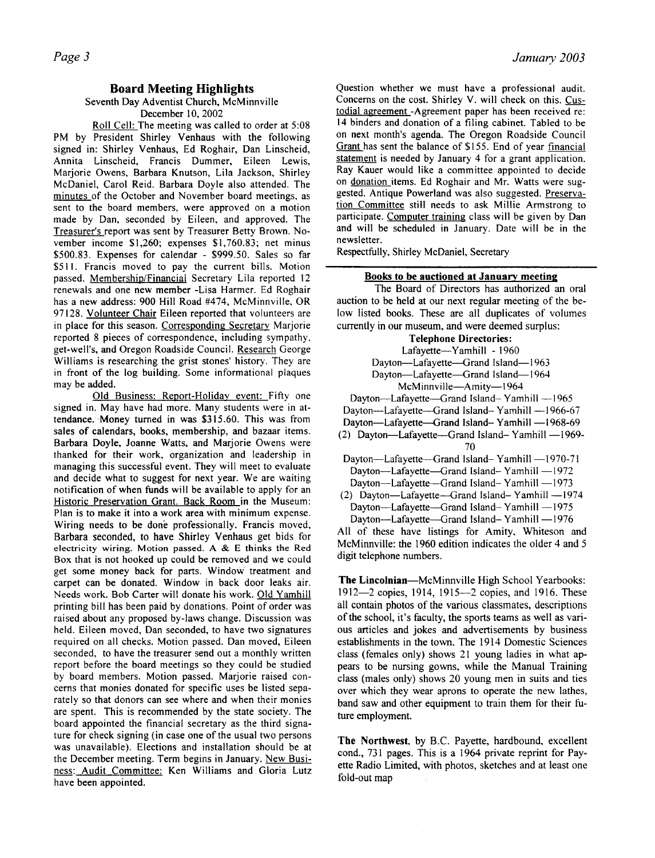### Board Meeting Highlights

#### Seventh Day Adventist Church, McMinnville December 10, 2002

Roll Cell: The meeting was called to order at 5:08 PM by President Shirley Venhaus with the following signed in: Shirley Venhaus, Ed Roghair, Dan Linscheid, Annita Linscheid, Francis Dummer, Eileen Lewis, Marjorie Owens, Barbara Knutson, Lila Jackson, Shirley McDaniel, Carol Reid. Barbara Doyle also attended. The minutes of the October and November board meetings, as sent to the board members, were approved on a motion made by Dan, seconded by Eileen, and approved. The Treasurer's report was sent by Treasurer Betty Brown. November income \$1,260; expenses \$1,760.83; net minus \$500.83. Expenses for calendar - \$999.50. Sales so far \$511. Francis moved to pay the current bills. Motion passed. Membership/Financial Secretary Lila reported 12 renewals and one new member -Lisa Harmer. Ed Roghair has a new address: 900 Hill Road #474, McMinnville, OR 97128. Volunteer Chair Eileen reported that volunteers are in place for this season. Corresponding Secretary Marjorie reported 8 pieces of correspondence, including sympathy. get-well's, and Oregon Roadside Council. Research George Williams is researching the grist stones' history. They are in front of the log building. Some informational plaques may be added.

Old Business: Report-Holidav event: Fifty one signed in. May have had more. Many students were in attendance. Money turned in was \$315.60. This was from sales of calendars, books, membership, and bazaar items. Barbara Doyle, Joanne Watts, and Marjorie Owens were thanked for their work, organization and leadership in managing this successful event. They will meet to evaluate and decide what to suggest for next year. We are waiting notification of when funds will be available to apply for an Historic Preservation Grant. Back Room in the Museum: Plan is to make it into a work area with minimum expense. Wiring needs to be done professionally. Francis moved, Barbara seconded, to have Shirley Venhaus get bids for electricity wiring. Motion passed. A & E thinks the Red Box that is not hooked up could be removed and we could get some money back for parts. Window treatment and carpet can be donated. Window in back door leaks air. Needs work. Bob Carter will donate his work. Old Yamhill printing bill has been paid by donations. Point of order was raised about any proposed by-laws change. Discussion was held. Eileen moved, Dan seconded, to have two signatures required on all checks. Motion passed. Dan moved, Eileen seconded, to have the treasurer send out a monthly written report before the board meetings so they could be studied by board members. Motion passed. Marjorie raised concerns that monies donated for specific uses be listed separately so that donors can see where and when their monies are spent. This is recommended by the state society. The board appointed the financial secretary as the third signature for check signing (in case one of the usual two persons was unavailable). Elections and installation should be at the December meeting. Term begins in January. New Business: Audit Committee: Ken Williams and Gloria Lutz have been appointed.

Question whether we must have a professional audit. Concerns on the cost. Shirley V. will check on this. Custodial agreement -Agreement paper has been received re: 14 binders and donation of a filing cabinet. Tabled to be on next month's agenda. The Oregon Roadside Council Grant has sent the balance of \$155. End of year financial statement is needed by January 4 for a grant application. Ray Kauer would like a committee appointed to decide on donation items. Ed Roghair and Mr. Watts were suggested. Antique Powerland was also suggested. Preservation Committee still needs to ask Millie Armstrong to participate. Computer training class will be given by Dan and will be scheduled in January. Date will be in the newsletter.

Respectfully, Shirley McDaniel, Secretary

### Books to be auctioned at January meeting

The Board of Directors has authorized an oral auction to be held at our next regular meeting of the below listed books. These are all duplicates of volumes currently in our museum, and were deemed surplus:

### Telephone Directories: Lafayette-Yamhill - 1960 Dayton-Lafayette-Grand Island-1963 Dayton-Lafayette-Grand Island-1964 McMinnville-Amity-1964 Dayton-Lafayette-Grand Island-Yamhill -1965 Dayton-Lafayette-Grand Island- Yamhill -1966-67 Dayton-Lafayette-Grand Island-Yamhill -1968-69 (2) Dayton-Lafayette-Grand Island- Yamhill -1969-70

Dayton-Lafayette-Grand Island- Yamhill -1970-71 Dayton-Lafayette-Grand Island- Yamhill -1972 Dayton-Lafayette-Grand Island- Yamhill -1973

 $(2)$  Dayton-Lafayette-Grand Island-Yamhill -1974 Dayton-Lafayette-Grand Island- Yamhill -1975 Dayton-Lafayette-Grand Island- Yamhill -1976

All of these have listings for Amity, Whiteson and McMinnville: the 1960 edition indicates the older 4 and 5 digit telephone numbers.

The Lincolnian-McMinnville High School Yearbooks: 1912-2 copies, 1914, 1915-2 copies, and 1916. These all contain photos of the various classmates, descriptions of the school, it's faculty, the sports teams as well as various articles and jokes and advertisements by business establishments in the town. The 1914 Domestic Sciences class (females only) shows 21 young ladies in what appears to be nursing gowns, while the Manual Training class (males only) shows 20 young men in suits and ties over which they wear aprons to operate the new lathes, band saw and other equipment to train them for their future employment.

The Northwest, by B.C. Payette, hardbound, excellent cond., 731 pages. This is a 1964 private reprint for Payette Radio Limited, with photos, sketches and at least one fold-out map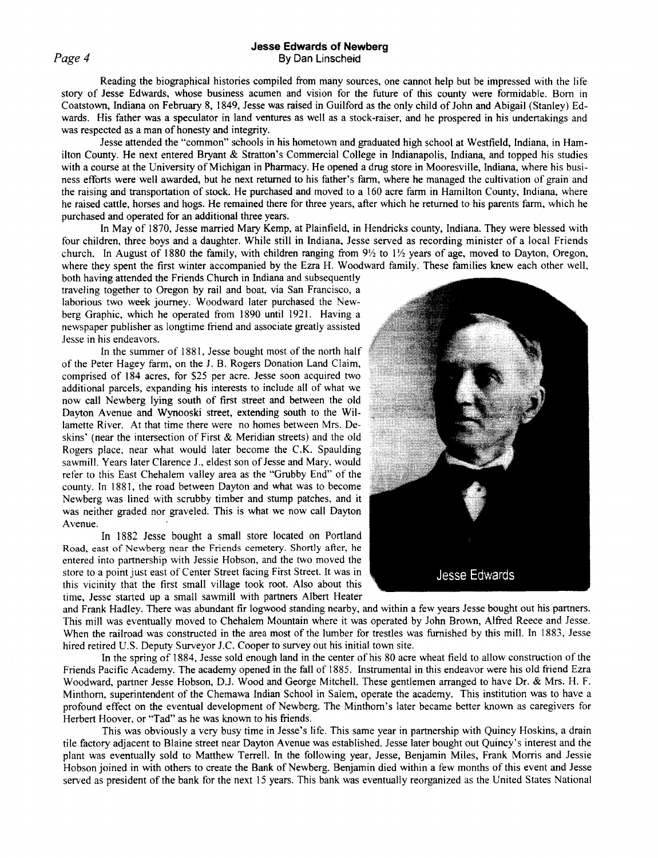### **Jesse Edwards of Newberg**  By Dan Linscheid

Reading the biographical histories compiled from many sources, one cannot help but be impressed with the life story of Jesse Edwards, whose business acumen and vision for the future of this county were formidable. Born in Coatstown, Indiana on February 8, 1849, Jesse was raised in Guilford as the only child of John and Abigail (Stanley) Edwards. His father was a speculator in land ventures as well as a stock-raiser, and he prospered in his undertakings and was respected as a man of honesty and integrity.

Jesse attended the "common" schools in his hometown and graduated high school at Westfield, Indiana, in Hamilton County. He next entered Bryant & Stratton's Commercial College in Indianapolis, Indiana, and topped his studies with a course at the University of Michigan in Pharmacy. He opened a drug store in Mooresville, Indiana, where his business efforts were well awarded, but he next returned to his father's farm, where he managed the cultivation of grain and the raising and transportation of stock. He purchased and moved to a 160 acre farm in Hamilton County, Indiana, where he raised cattle, horses and hogs. He remained there for three years, after which he returned to his parents farm, which he purchased and operated for an additional three years.

In May of 1870, Jesse married Mary Kemp, at Plainfield, in Hendricks county, Indiana. They were blessed with four children, three boys and a daughter. While still in Indiana, Jesse served as recording minister of a local Friends church. In August of 1880 the family, with children ranging from  $9\frac{1}{2}$  to  $1\frac{1}{2}$  years of age, moved to Dayton, Oregon, where they spent the first winter accompanied by the Ezra H. Woodward family. These families knew each other well,

both having attended the Friends Church in Indiana and subsequently traveling together to Oregon by rail and boat, via San Francisco, a laborious two week journey. Woodward later purchased the Newberg Graphic, which he operated from 1890 until 1921. Having a newspaper publisher as longtime friend and associate greatly assisted Jesse in his endeavors.

In the summer of 1881, Jesse bought most of the north half of the Peter Hagey farm, on the J. B. Rogers Donation Land Claim, comprised of 184 acres, for \$25 per acre. Jesse soon acquired two additional parcels, expanding his interests to include all of what we now call Newberg lying south of first street and between the old Dayton Avenue and Wynooski street, extending south to the Willamette River. At that time there were no homes between Mrs. Deskins' (near the intersection of First & Meridian streets) and the old Rogers place, near what would later become the C.K. Spaulding sawmill. Years later Clarence J., eldest son of Jesse and Mary, would refer to this East Chehalem valley area as the "Grubby End" of the county. In 1881, the road between Dayton and what was to become Newberg was lined with scrubby timber and stump patches, and it was neither graded nor graveled. This is what we now call Dayton Avenue.

In 1882 Jesse bought a small store located on Portland Road, east of Newberg near the Friends cemetery. Shortly after, he entered into partnership with Jessie Hobson, and the two moved the store to a point just east of Center Street facing First Street. It was in this vicinity that the first small village took root. Also about this time, Jesse started up a small sawmill with partners Albert Heater



and Frank Hadley. There was abundant fir logwood standing nearby, and within a few years Jesse bought out his partners. This mill was eventually moved to Chehalem Mountain where it was operated by John Brown, Alfred Reece and Jesse. When the railroad was constructed in the area most of the lumber for trestles was furnished by this mill. In 1883, Jesse hired retired U.S. Deputy Surveyor J.C. Cooper to survey out his initial town site.

In the spring of 1884, Jesse sold enough land in the center of his 80 acre wheat field to allow construction of the Friends Pacific Academy. The academy opened in the fall of 1885. Instrumental in this endeavor were his old friend Ezra Woodward, partner Jesse Hobson, D.J. Wood and George Mitchell. These gentlemen arranged to have Dr. & Mrs. H.F. Minthorn, superintendent of the Chemawa Indian School in Salem, operate the academy. This institution was to have a profound effect on the eventual development of Newberg. The Minthorn's later became better known as caregivers for Herbert Hoover, or "Tad" as he was known to his friends.

This was obviously a very busy time in Jesse's life. This same year in partnership with Quincy Hoskins, a drain tile factory adjacent to Blaine street near Dayton Avenue was established. Jesse later bought out Quincy's interest and the plant was eventually sold to Matthew Terrell. In the following year, Jesse, Benjamin Miles, Frank Morris and Jessie Hobson joined in with others to create the Bank of Newberg. Benjamin died within a few months of this event and Jesse served as president of the bank for the next 15 years. This bank was eventually reorganized as the United States National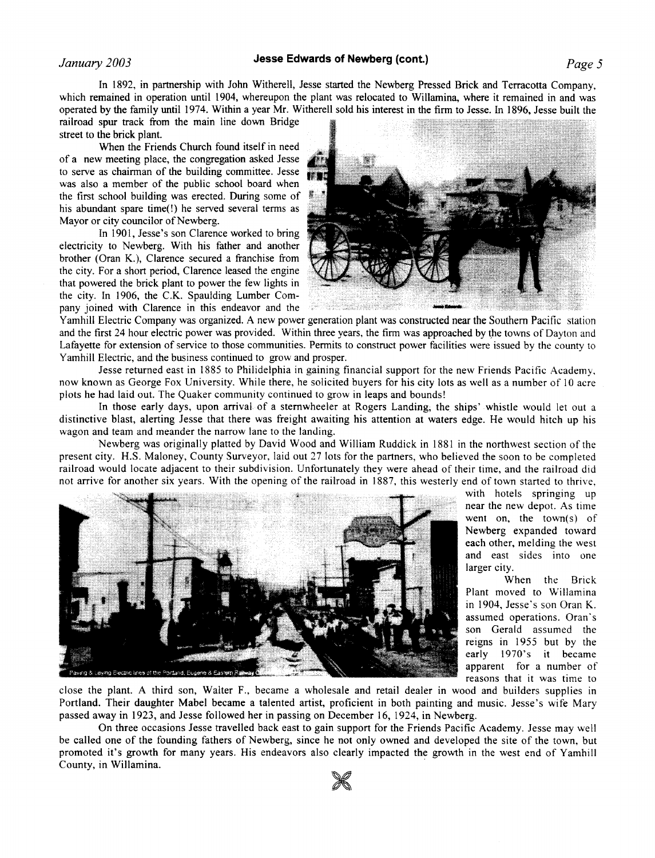# *January 2003 Jesse Edwards of Newberg (cont.) Page 5*

In 1892, in partnership with John Witherell, Jesse started the Newberg Pressed Brick and Terracotta Company, which remained in operation until 1904, whereupon the plant was relocated to Willamina, where it remained in and was operated by the family until 1974. Within a year Mr. Witherell sold his interest in the firm to Jesse. In 1896, Jesse built the

railroad spur track from the main line down Bridge street to the brick plant.

When the Friends Church found itself in need of a new meeting place, the congregation asked Jesse to serve as chairman of the building committee. Jesse was also a member of the public school board when the first school building was erected. During some of his abundant spare time(!) he served several terms as Mayor or city councilor of Newberg.

In 1901, Jesse's son Clarence worked to bring electricity to Newberg. With his father and another brother (Oran K.), Clarence secured a franchise from the city. For a short period, Clarence leased the engine that powered the brick plant to power the few lights in the city. In 1906, the C.K. Spaulding Lumber Company joined with Clarence in this endeavor and the



Yamhill Electric Company was organized. A new power generation plant was constructed near the Southern Pacific station and the first 24 hour electric power was provided. Within three years, the firm was approached by the towns of Dayton and Lafayette for extension of service to those communities. Permits to construct power facilities were issued by the county to Yamhill Electric, and the business continued to grow and prosper.

Jesse returned east in 1885 to Philidelphia in gaining financial support for the new Friends Pacific Academy. now known as George Fox University. While there, he solicited buyers for his city lots as well as a number of 10 acre plots he had laid out. The Quaker community continued to grow in leaps and bounds!

In those early days, upon arrival of a sternwheeler at Rogers Landing; the ships' whistle would let out a distinctive blast, alerting Jesse that there was freight awaiting his attention at waters edge. He would hitch up his wagon and team and meander the narrow lane to the landing.

Newberg was originally platted by David Wood and William Ruddick in 1881 in the northwest section of the present city. H.S. Maloney, County Surveyor, laid out 27 lots for the partners, who believed the soon to be completed railroad would locate adjacent to their subdivision. Unfortunately they were ahead of their time, and the railroad did not arrive for another six years. With the opening of the railroad in 1887, this westerly end of town started to thrive,



with hotels springing up near the new depot. As time went on, the town(s) of Newberg expanded toward each other, melding the west and east sides into one larger city.

When the Brick Plant moved to Willamina in 1904, Jesse's son Oran K. assumed operations. Oran's son Gerald assumed the reigns in 1955 but by the early 1970's it became apparent for a number of reasons that it was time to

close the plant. A third son, Walter F., became a wholesale and retail dealer in wood and builders supplies in Portland. Their daughter Mabel became a talented artist, proficient in both painting and music. Jesse's wife Mary passed away in 1923, and Jesse followed her in passing on December 16, 1924, in Newberg.

On three occasions Jesse travelled back east to gain support for the Friends Pacific Academy. Jesse may well be called one of the founding fathers of Newberg, since he not only owned and developed the site of the town, but promoted it's growth for many years. His endeavors also clearly impacted the growth in the west end of Yamhill County, in Willamina.